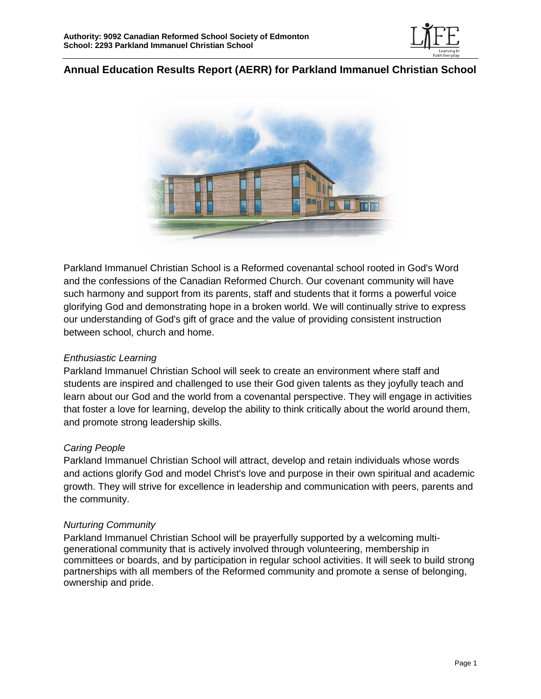

# **Annual Education Results Report (AERR) for Parkland Immanuel Christian School**



Parkland Immanuel Christian School is a Reformed covenantal school rooted in God's Word and the confessions of the Canadian Reformed Church. Our covenant community will have such harmony and support from its parents, staff and students that it forms a powerful voice glorifying God and demonstrating hope in a broken world. We will continually strive to express our understanding of God's gift of grace and the value of providing consistent instruction between school, church and home.

## *Enthusiastic Learning*

Parkland Immanuel Christian School will seek to create an environment where staff and students are inspired and challenged to use their God given talents as they joyfully teach and learn about our God and the world from a covenantal perspective. They will engage in activities that foster a love for learning, develop the ability to think critically about the world around them, and promote strong leadership skills.

## *Caring People*

Parkland Immanuel Christian School will attract, develop and retain individuals whose words and actions glorify God and model Christ's love and purpose in their own spiritual and academic growth. They will strive for excellence in leadership and communication with peers, parents and the community.

## *Nurturing Community*

Parkland Immanuel Christian School will be prayerfully supported by a welcoming multigenerational community that is actively involved through volunteering, membership in committees or boards, and by participation in regular school activities. It will seek to build strong partnerships with all members of the Reformed community and promote a sense of belonging, ownership and pride.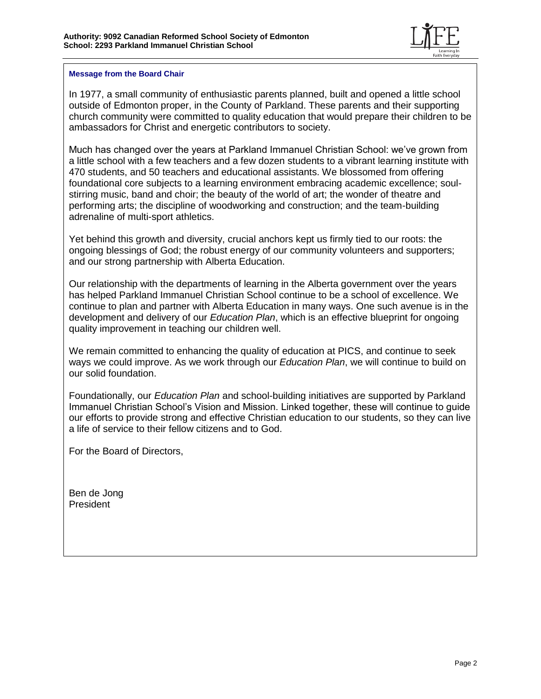

#### **Message from the Board Chair**

In 1977, a small community of enthusiastic parents planned, built and opened a little school outside of Edmonton proper, in the County of Parkland. These parents and their supporting church community were committed to quality education that would prepare their children to be ambassadors for Christ and energetic contributors to society.

Much has changed over the years at Parkland Immanuel Christian School: we've grown from a little school with a few teachers and a few dozen students to a vibrant learning institute with 470 students, and 50 teachers and educational assistants. We blossomed from offering foundational core subjects to a learning environment embracing academic excellence; soulstirring music, band and choir; the beauty of the world of art; the wonder of theatre and performing arts; the discipline of woodworking and construction; and the team-building adrenaline of multi-sport athletics.

Yet behind this growth and diversity, crucial anchors kept us firmly tied to our roots: the ongoing blessings of God; the robust energy of our community volunteers and supporters; and our strong partnership with Alberta Education.

Our relationship with the departments of learning in the Alberta government over the years has helped Parkland Immanuel Christian School continue to be a school of excellence. We continue to plan and partner with Alberta Education in many ways. One such avenue is in the development and delivery of our *Education Plan*, which is an effective blueprint for ongoing quality improvement in teaching our children well.

We remain committed to enhancing the quality of education at PICS, and continue to seek ways we could improve. As we work through our *Education Plan*, we will continue to build on our solid foundation.

Foundationally, our *Education Plan* and school-building initiatives are supported by Parkland Immanuel Christian School's Vision and Mission. Linked together, these will continue to guide our efforts to provide strong and effective Christian education to our students, so they can live a life of service to their fellow citizens and to God.

For the Board of Directors,

Ben de Jong President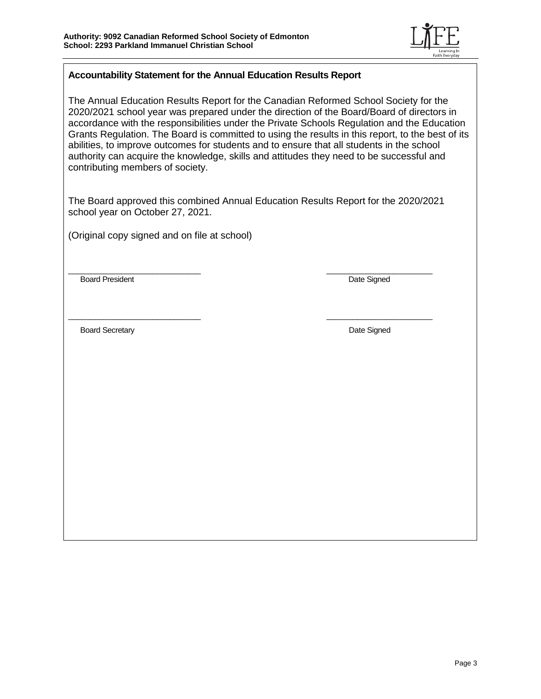

## **Accountability Statement for the Annual Education Results Report**

The Annual Education Results Report for the Canadian Reformed School Society for the 2020/2021 school year was prepared under the direction of the Board/Board of directors in accordance with the responsibilities under the Private Schools Regulation and the Education Grants Regulation. The Board is committed to using the results in this report, to the best of its abilities, to improve outcomes for students and to ensure that all students in the school authority can acquire the knowledge, skills and attitudes they need to be successful and contributing members of society.

The Board approved this combined Annual Education Results Report for the 2020/2021 school year on October 27, 2021.

 $\frac{1}{2}$  ,  $\frac{1}{2}$  ,  $\frac{1}{2}$  ,  $\frac{1}{2}$  ,  $\frac{1}{2}$  ,  $\frac{1}{2}$  ,  $\frac{1}{2}$  ,  $\frac{1}{2}$  ,  $\frac{1}{2}$  ,  $\frac{1}{2}$  ,  $\frac{1}{2}$  ,  $\frac{1}{2}$  ,  $\frac{1}{2}$  ,  $\frac{1}{2}$  ,  $\frac{1}{2}$  ,  $\frac{1}{2}$  ,  $\frac{1}{2}$  ,  $\frac{1}{2}$  ,  $\frac{1$ 

(Original copy signed and on file at school)

 $\frac{1}{2}$  ,  $\frac{1}{2}$  ,  $\frac{1}{2}$  ,  $\frac{1}{2}$  ,  $\frac{1}{2}$  ,  $\frac{1}{2}$  ,  $\frac{1}{2}$  ,  $\frac{1}{2}$  ,  $\frac{1}{2}$  ,  $\frac{1}{2}$  ,  $\frac{1}{2}$  ,  $\frac{1}{2}$  ,  $\frac{1}{2}$  ,  $\frac{1}{2}$  ,  $\frac{1}{2}$  ,  $\frac{1}{2}$  ,  $\frac{1}{2}$  ,  $\frac{1}{2}$  ,  $\frac{1$ Board President National Accords 2012 12:00:00 National Accords 2012 12:00:00 National Accords 2012 12:00:00 National Accords 2012 12:00:00 National Accords 2012 12:00:00 National Accords 2012 12:00:00 National Accords 201

Board Secretary **Date Signed Date Signed**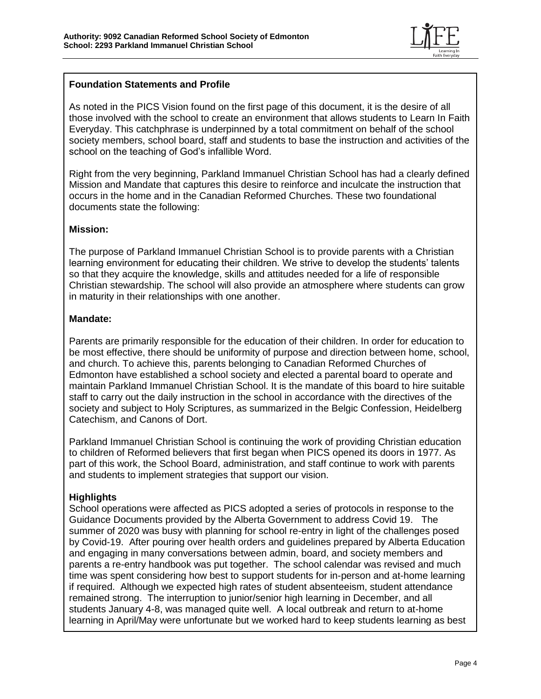

## **Foundation Statements and Profile**

As noted in the PICS Vision found on the first page of this document, it is the desire of all those involved with the school to create an environment that allows students to Learn In Faith Everyday. This catchphrase is underpinned by a total commitment on behalf of the school society members, school board, staff and students to base the instruction and activities of the school on the teaching of God's infallible Word.

Right from the very beginning, Parkland Immanuel Christian School has had a clearly defined Mission and Mandate that captures this desire to reinforce and inculcate the instruction that occurs in the home and in the Canadian Reformed Churches. These two foundational documents state the following:

## **Mission:**

The purpose of Parkland Immanuel Christian School is to provide parents with a Christian learning environment for educating their children. We strive to develop the students' talents so that they acquire the knowledge, skills and attitudes needed for a life of responsible Christian stewardship. The school will also provide an atmosphere where students can grow in maturity in their relationships with one another.

## **Mandate:**

Parents are primarily responsible for the education of their children. In order for education to be most effective, there should be uniformity of purpose and direction between home, school, and church. To achieve this, parents belonging to Canadian Reformed Churches of Edmonton have established a school society and elected a parental board to operate and maintain Parkland Immanuel Christian School. It is the mandate of this board to hire suitable staff to carry out the daily instruction in the school in accordance with the directives of the society and subject to Holy Scriptures, as summarized in the Belgic Confession, Heidelberg Catechism, and Canons of Dort.

Parkland Immanuel Christian School is continuing the work of providing Christian education to children of Reformed believers that first began when PICS opened its doors in 1977. As part of this work, the School Board, administration, and staff continue to work with parents and students to implement strategies that support our vision.

# **Highlights**

School operations were affected as PICS adopted a series of protocols in response to the Guidance Documents provided by the Alberta Government to address Covid 19. The summer of 2020 was busy with planning for school re-entry in light of the challenges posed by Covid-19. After pouring over health orders and guidelines prepared by Alberta Education and engaging in many conversations between admin, board, and society members and parents a re-entry handbook was put together. The school calendar was revised and much time was spent considering how best to support students for in-person and at-home learning if required. Although we expected high rates of student absenteeism, student attendance remained strong. The interruption to junior/senior high learning in December, and all students January 4-8, was managed quite well. A local outbreak and return to at-home learning in April/May were unfortunate but we worked hard to keep students learning as best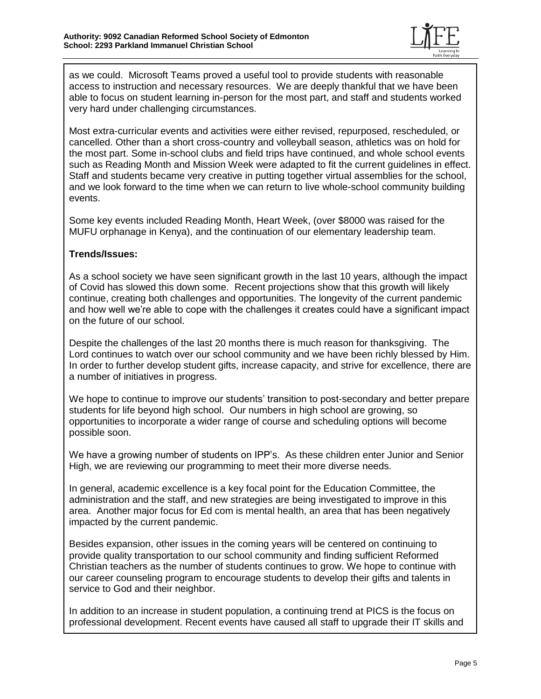

as we could. Microsoft Teams proved a useful tool to provide students with reasonable access to instruction and necessary resources. We are deeply thankful that we have been able to focus on student learning in-person for the most part, and staff and students worked very hard under challenging circumstances.

Most extra-curricular events and activities were either revised, repurposed, rescheduled, or cancelled. Other than a short cross-country and volleyball season, athletics was on hold for the most part. Some in-school clubs and field trips have continued, and whole school events such as Reading Month and Mission Week were adapted to fit the current guidelines in effect. Staff and students became very creative in putting together virtual assemblies for the school, and we look forward to the time when we can return to live whole-school community building events.

Some key events included Reading Month, Heart Week, (over \$8000 was raised for the MUFU orphanage in Kenya), and the continuation of our elementary leadership team.

### **Trends/Issues:**

As a school society we have seen significant growth in the last 10 years, although the impact of Covid has slowed this down some. Recent projections show that this growth will likely continue, creating both challenges and opportunities. The longevity of the current pandemic and how well we're able to cope with the challenges it creates could have a significant impact on the future of our school.

Despite the challenges of the last 20 months there is much reason for thanksgiving. The Lord continues to watch over our school community and we have been richly blessed by Him. In order to further develop student gifts, increase capacity, and strive for excellence, there are a number of initiatives in progress.

We hope to continue to improve our students' transition to post-secondary and better prepare students for life beyond high school. Our numbers in high school are growing, so opportunities to incorporate a wider range of course and scheduling options will become possible soon.

We have a growing number of students on IPP's. As these children enter Junior and Senior High, we are reviewing our programming to meet their more diverse needs.

In general, academic excellence is a key focal point for the Education Committee, the administration and the staff, and new strategies are being investigated to improve in this area. Another major focus for Ed com is mental health, an area that has been negatively impacted by the current pandemic.

Besides expansion, other issues in the coming years will be centered on continuing to provide quality transportation to our school community and finding sufficient Reformed Christian teachers as the number of students continues to grow. We hope to continue with our career counseling program to encourage students to develop their gifts and talents in service to God and their neighbor.

In addition to an increase in student population, a continuing trend at PICS is the focus on professional development. Recent events have caused all staff to upgrade their IT skills and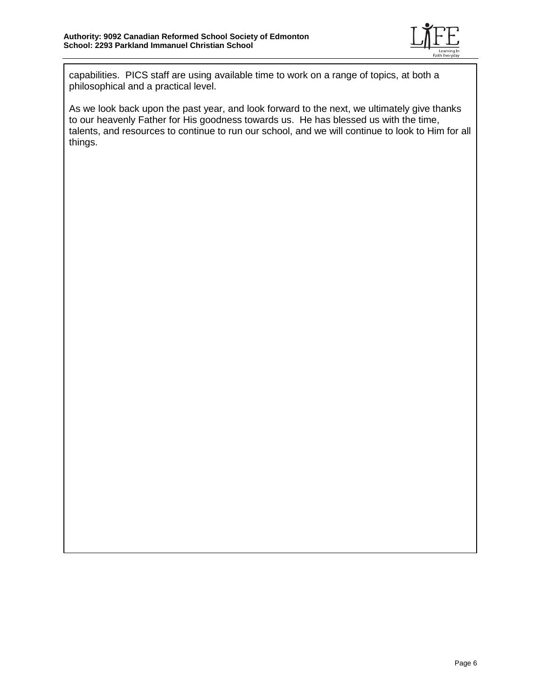

capabilities. PICS staff are using available time to work on a range of topics, at both a philosophical and a practical level.

As we look back upon the past year, and look forward to the next, we ultimately give thanks to our heavenly Father for His goodness towards us. He has blessed us with the time, talents, and resources to continue to run our school, and we will continue to look to Him for all things.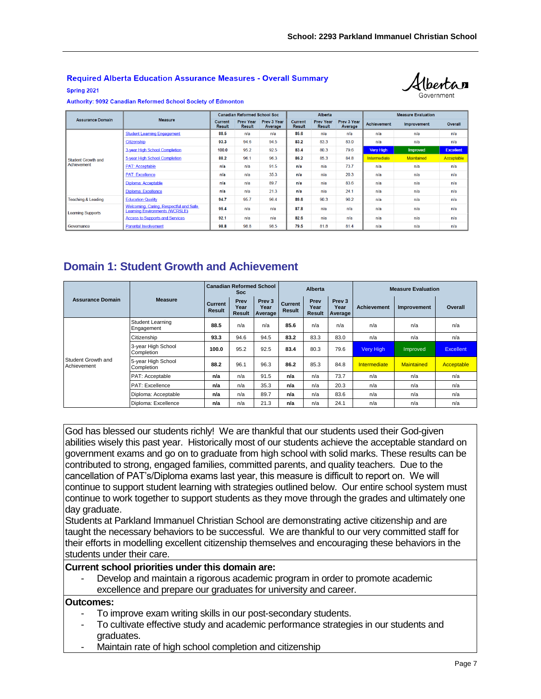#### **Required Alberta Education Assurance Measures - Overall Summary**



Spring 2021

Authority: 9092 Canadian Reformed School Society of Edmonton

| <b>Assurance Domain</b>                  |                                                                                 |                          | <b>Canadian Reformed School Soc</b> |                        |                          | Alberta                           |                        | <b>Measure Evaluation</b> |                    |                  |  |
|------------------------------------------|---------------------------------------------------------------------------------|--------------------------|-------------------------------------|------------------------|--------------------------|-----------------------------------|------------------------|---------------------------|--------------------|------------------|--|
|                                          | <b>Measure</b>                                                                  | Current<br><b>Result</b> | <b>Prev Year</b><br><b>Result</b>   | Prev 3 Year<br>Average | Current<br><b>Result</b> | <b>Prev Year</b><br><b>Result</b> | Prev 3 Year<br>Average | <b>Achievement</b>        | <b>Improvement</b> | Overall          |  |
|                                          | <b>Student Learning Engagement</b>                                              | 88.5                     | n/a                                 | n/a                    | 85.6                     | n/a                               | n/a                    | n/a                       | n/a                | n/a              |  |
|                                          | Citizenship                                                                     | 93.3                     | 94.6                                | 94.5                   | 83.2                     | 83.3                              | 83.0                   | n/a                       | n/a                | n/a              |  |
|                                          | 3-year High School Completion                                                   | 100.0                    | 95.2                                | 92.5                   | 83.4                     | 80.3                              | 79.6                   | <b>Very High</b>          | Improved           | <b>Excellent</b> |  |
| <b>Student Growth and</b><br>Achievement | 5-year High School Completion                                                   | 88.2                     | 96.1                                | 96.3                   | 86.2                     | 85.3                              | 84.8                   | Intermediate              | Maintained         | Acceptable       |  |
|                                          | <b>PAT: Acceptable</b>                                                          | n/a                      | n/a                                 | 91.5                   | n/a                      | n/a                               | 73.7                   | n/a                       | n/a                | n/a              |  |
|                                          | <b>PAT: Excellence</b>                                                          | n/a                      | n/a                                 | 35.3                   | n/a                      | n/a                               | 20.3                   | n/a                       | n/a                | n/a              |  |
|                                          | Diploma: Acceptable                                                             | n/a                      | n/a                                 | 89.7                   | n/a                      | n/a                               | 83.6                   | n/a                       | n/a                | n/a              |  |
|                                          | Diploma: Excellence                                                             | n/a                      | n/a                                 | 21.3                   | n/a                      | n/a                               | 24.1                   | n/a                       | n/a                | n/a              |  |
| <b>Teaching &amp; Leading</b>            | <b>Education Quality</b>                                                        | 94.7                     | 95.7                                | 964                    | 89.6                     | 90.3                              | 90.2                   | n/a                       | n/a                | n/a              |  |
| <b>Learning Supports</b>                 | Welcoming, Caring, Respectful and Safe<br><b>Learning Environments (WCRSLE)</b> | 95.4                     | n/a                                 | n/a                    | 87.8                     | n/a                               | n/a                    | n/a                       | n/a                | n/a              |  |
|                                          | <b>Access to Supports and Services</b>                                          | 92.1                     | n/a                                 | n/a                    | 82.6                     | n/a                               | n/a                    | n/a                       | n/a                | n/a              |  |
| Governance                               | <b>Parental Involvement</b>                                                     | 98.8                     | 98.8                                | 98.5                   | 79.5                     | 81.8                              | 81.4                   | n/a                       | n/a                | n/a              |  |

# **Domain 1: Student Growth and Achievement**

|                                   |                                       | <b>Canadian Reformed School</b><br><b>Soc</b> |                               |                                      | Alberta                         |                               |                                      | <b>Measure Evaluation</b> |                   |                  |
|-----------------------------------|---------------------------------------|-----------------------------------------------|-------------------------------|--------------------------------------|---------------------------------|-------------------------------|--------------------------------------|---------------------------|-------------------|------------------|
| <b>Assurance Domain</b>           | <b>Measure</b>                        | <b>Current</b><br><b>Result</b>               | Prev<br>Year<br><b>Result</b> | Prev <sub>3</sub><br>Year<br>Average | <b>Current</b><br><b>Result</b> | Prev<br>Year<br><b>Result</b> | Prev <sub>3</sub><br>Year<br>Average | <b>Achievement</b>        | Improvement       | Overall          |
|                                   | <b>Student Learning</b><br>Engagement | 88.5                                          | n/a                           | n/a                                  | 85.6                            | n/a                           | n/a                                  | n/a                       | n/a               | n/a              |
|                                   | Citizenship                           | 93.3                                          | 94.6                          | 94.5                                 | 83.2                            | 83.3                          | 83.0                                 | n/a                       | n/a               | n/a              |
|                                   | 3-year High School<br>Completion      | 100.0                                         | 95.2                          | 92.5                                 | 83.4                            | 80.3                          | 79.6                                 | <b>Very High</b>          | Improved          | <b>Excellent</b> |
| Student Growth and<br>Achievement | 5-year High School<br>Completion      | 88.2                                          | 96.1                          | 96.3                                 | 86.2                            | 85.3                          | 84.8                                 | Intermediate              | <b>Maintained</b> | Acceptable       |
|                                   | PAT: Acceptable                       | n/a                                           | n/a                           | 91.5                                 | n/a                             | n/a                           | 73.7                                 | n/a                       | n/a               | n/a              |
|                                   | PAT: Excellence                       | n/a                                           | n/a                           | 35.3                                 | n/a                             | n/a                           | 20.3                                 | n/a                       | n/a               | n/a              |
|                                   | Diploma: Acceptable                   | n/a                                           | n/a                           | 89.7                                 | n/a                             | n/a                           | 83.6                                 | n/a                       | n/a               | n/a              |
|                                   | Diploma: Excellence                   | n/a                                           | n/a                           | 21.3                                 | n/a                             | n/a                           | 24.1                                 | n/a                       | n/a               | n/a              |

God has blessed our students richly! We are thankful that our students used their God-given abilities wisely this past year. Historically most of our students achieve the acceptable standard on government exams and go on to graduate from high school with solid marks. These results can be contributed to strong, engaged families, committed parents, and quality teachers. Due to the cancellation of PAT's/Diploma exams last year, this measure is difficult to report on. We will continue to support student learning with strategies outlined below. Our entire school system must continue to work together to support students as they move through the grades and ultimately one day graduate.

Students at Parkland Immanuel Christian School are demonstrating active citizenship and are taught the necessary behaviors to be successful. We are thankful to our very committed staff for their efforts in modelling excellent citizenship themselves and encouraging these behaviors in the students under their care.

### **Current school priorities under this domain are:**

Develop and maintain a rigorous academic program in order to promote academic excellence and prepare our graduates for university and career.

### **Outcomes:**

- To improve exam writing skills in our post-secondary students.
- To cultivate effective study and academic performance strategies in our students and graduates.
- Maintain rate of high school completion and citizenship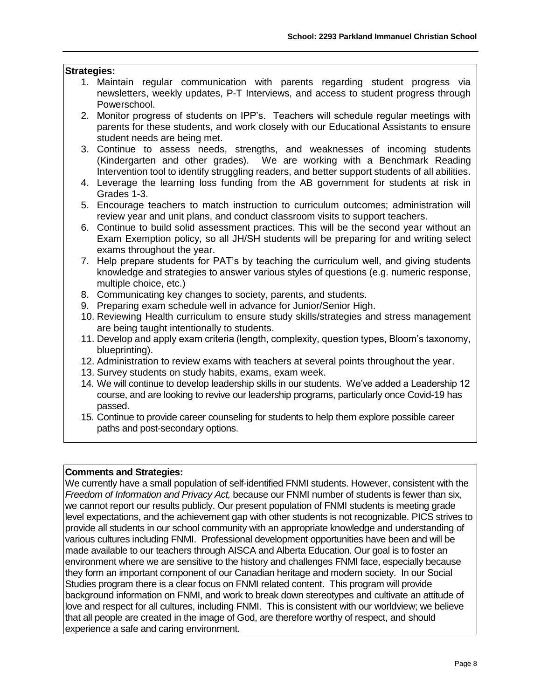## **Strategies:**

- 1. Maintain regular communication with parents regarding student progress via newsletters, weekly updates, P-T Interviews, and access to student progress through Powerschool.
- 2. Monitor progress of students on IPP's. Teachers will schedule regular meetings with parents for these students, and work closely with our Educational Assistants to ensure student needs are being met.
- 3. Continue to assess needs, strengths, and weaknesses of incoming students (Kindergarten and other grades). We are working with a Benchmark Reading Intervention tool to identify struggling readers, and better support students of all abilities.
- 4. Leverage the learning loss funding from the AB government for students at risk in Grades 1-3.
- 5. Encourage teachers to match instruction to curriculum outcomes; administration will review year and unit plans, and conduct classroom visits to support teachers.
- 6. Continue to build solid assessment practices. This will be the second year without an Exam Exemption policy, so all JH/SH students will be preparing for and writing select exams throughout the year.
- 7. Help prepare students for PAT's by teaching the curriculum well, and giving students knowledge and strategies to answer various styles of questions (e.g. numeric response, multiple choice, etc.)
- 8. Communicating key changes to society, parents, and students.
- 9. Preparing exam schedule well in advance for Junior/Senior High.
- 10. Reviewing Health curriculum to ensure study skills/strategies and stress management are being taught intentionally to students.
- 11. Develop and apply exam criteria (length, complexity, question types, Bloom's taxonomy, blueprinting).
- 12. Administration to review exams with teachers at several points throughout the year.
- 13. Survey students on study habits, exams, exam week.
- 14. We will continue to develop leadership skills in our students. We've added a Leadership 12 course, and are looking to revive our leadership programs, particularly once Covid-19 has passed.
- 15. Continue to provide career counseling for students to help them explore possible career paths and post-secondary options.

## **Comments and Strategies:**

We currently have a small population of self-identified FNMI students. However, consistent with the *Freedom of Information and Privacy Act,* because our FNMI number of students is fewer than six, we cannot report our results publicly. Our present population of FNMI students is meeting grade level expectations, and the achievement gap with other students is not recognizable. PICS strives to provide all students in our school community with an appropriate knowledge and understanding of various cultures including FNMI. Professional development opportunities have been and will be made available to our teachers through AISCA and Alberta Education. Our goal is to foster an environment where we are sensitive to the history and challenges FNMI face, especially because they form an important component of our Canadian heritage and modern society. In our Social Studies program there is a clear focus on FNMI related content. This program will provide background information on FNMI, and work to break down stereotypes and cultivate an attitude of love and respect for all cultures, including FNMI. This is consistent with our worldview; we believe that all people are created in the image of God, are therefore worthy of respect, and should experience a safe and caring environment.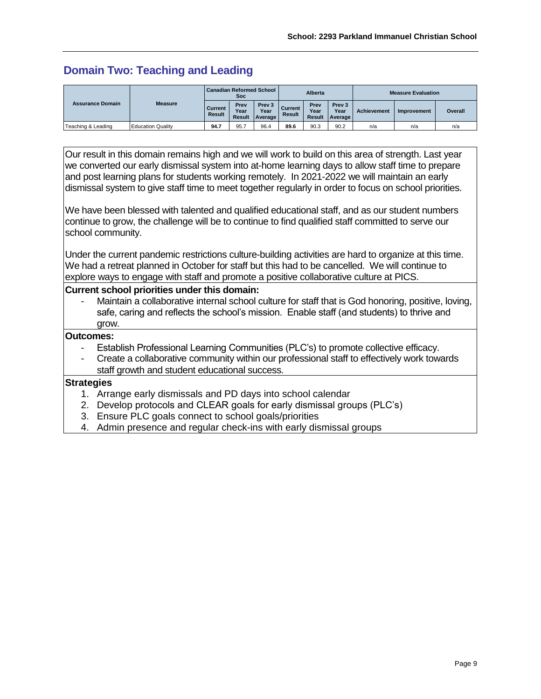# **Domain Two: Teaching and Leading**

| <b>Assurance Domain</b> |                          | <b>Canadian Reformed School  </b><br><b>Soc</b> |                               |                                             | Alberta                  |                               |                                             | <b>Measure Evaluation</b> |             |         |
|-------------------------|--------------------------|-------------------------------------------------|-------------------------------|---------------------------------------------|--------------------------|-------------------------------|---------------------------------------------|---------------------------|-------------|---------|
|                         | <b>Measure</b>           | Current<br><b>Result</b>                        | Prev<br>Year<br><b>Result</b> | Prev <sub>3</sub><br>Year<br><b>Average</b> | Current<br><b>Result</b> | Prev<br>Year<br><b>Result</b> | Prev <sub>3</sub><br>Year<br><b>Average</b> | <b>Achievement</b>        | Improvement | Overall |
| Teaching & Leading      | <b>Education Quality</b> | 94.7                                            | 95.7                          | 96.4                                        | 89.6                     | 90.3                          | 90.2                                        | n/a                       | n/a         | n/a     |

Our result in this domain remains high and we will work to build on this area of strength. Last year we converted our early dismissal system into at-home learning days to allow staff time to prepare and post learning plans for students working remotely. In 2021-2022 we will maintain an early dismissal system to give staff time to meet together regularly in order to focus on school priorities.

We have been blessed with talented and qualified educational staff, and as our student numbers continue to grow, the challenge will be to continue to find qualified staff committed to serve our school community.

Under the current pandemic restrictions culture-building activities are hard to organize at this time. We had a retreat planned in October for staff but this had to be cancelled. We will continue to explore ways to engage with staff and promote a positive collaborative culture at PICS.

## **Current school priorities under this domain:**

Maintain a collaborative internal school culture for staff that is God honoring, positive, loving, safe, caring and reflects the school's mission. Enable staff (and students) to thrive and grow.

## **Outcomes:**

- Establish Professional Learning Communities (PLC's) to promote collective efficacy.
- Create a collaborative community within our professional staff to effectively work towards staff growth and student educational success.

## **Strategies**

- 1. Arrange early dismissals and PD days into school calendar
- 2. Develop protocols and CLEAR goals for early dismissal groups (PLC's)
- 3. Ensure PLC goals connect to school goals/priorities
- 4. Admin presence and regular check-ins with early dismissal groups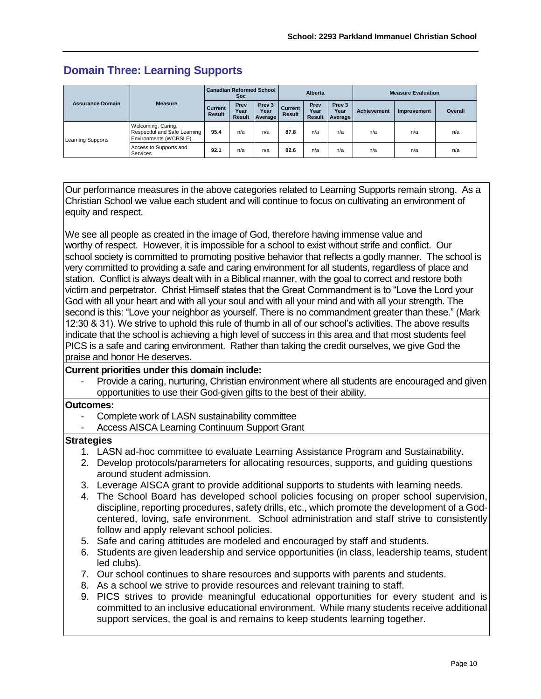# **Domain Three: Learning Supports**

|                          |                                                                             | <b>Canadian Reformed School</b><br><b>Soc</b> |                               |                                      | <b>Alberta</b>           |                               |                                             | <b>Measure Evaluation</b> |                    |         |
|--------------------------|-----------------------------------------------------------------------------|-----------------------------------------------|-------------------------------|--------------------------------------|--------------------------|-------------------------------|---------------------------------------------|---------------------------|--------------------|---------|
| <b>Assurance Domain</b>  | <b>Measure</b>                                                              | Current<br>Result                             | Prev<br>Year<br><b>Result</b> | Prev <sub>3</sub><br>Year<br>Average | Current<br><b>Result</b> | Prev<br>Year<br><b>Result</b> | Prev <sub>3</sub><br>Year<br><b>Average</b> | <b>Achievement</b>        | <b>Improvement</b> | Overall |
| <b>Learning Supports</b> | Welcoming, Caring,<br>Respectful and Safe Learning<br>Environments (WCRSLE) | 95.4                                          | n/a                           | n/a                                  | 87.8                     | n/a                           | n/a                                         | n/a                       | n/a                | n/a     |
|                          | Access to Supports and<br>Services                                          | 92.1                                          | n/a                           | n/a                                  | 82.6                     | n/a                           | n/a                                         | n/a                       | n/a                | n/a     |

Our performance measures in the above categories related to Learning Supports remain strong. As a Christian School we value each student and will continue to focus on cultivating an environment of equity and respect.

We see all people as created in the image of God, therefore having immense value and worthy of respect. However, it is impossible for a school to exist without strife and conflict. Our school society is committed to promoting positive behavior that reflects a godly manner. The school is very committed to providing a safe and caring environment for all students, regardless of place and station. Conflict is always dealt with in a Biblical manner, with the goal to correct and restore both victim and perpetrator. Christ Himself states that the Great Commandment is to "Love the Lord your God with all your heart and with all your soul and with all your mind and with all your strength. The second is this: "Love your neighbor as yourself. There is no commandment greater than these." (Mark 12:30 & 31). We strive to uphold this rule of thumb in all of our school's activities. The above results indicate that the school is achieving a high level of success in this area and that most students feel PICS is a safe and caring environment. Rather than taking the credit ourselves, we give God the praise and honor He deserves.

#### **Current priorities under this domain include:**

Provide a caring, nurturing, Christian environment where all students are encouraged and given opportunities to use their God-given gifts to the best of their ability.

#### **Outcomes:**

- Complete work of LASN sustainability committee
- Access AISCA Learning Continuum Support Grant

#### **Strategies**

- 1. LASN ad-hoc committee to evaluate Learning Assistance Program and Sustainability.
- 2. Develop protocols/parameters for allocating resources, supports, and guiding questions around student admission.
- 3. Leverage AISCA grant to provide additional supports to students with learning needs.
- 4. The School Board has developed school policies focusing on proper school supervision, discipline, reporting procedures, safety drills, etc., which promote the development of a Godcentered, loving, safe environment. School administration and staff strive to consistently follow and apply relevant school policies.
- 5. Safe and caring attitudes are modeled and encouraged by staff and students.
- 6. Students are given leadership and service opportunities (in class, leadership teams, student led clubs).
- 7. Our school continues to share resources and supports with parents and students.
- 8. As a school we strive to provide resources and relevant training to staff.
- 9. PICS strives to provide meaningful educational opportunities for every student and is committed to an inclusive educational environment. While many students receive additional support services, the goal is and remains to keep students learning together.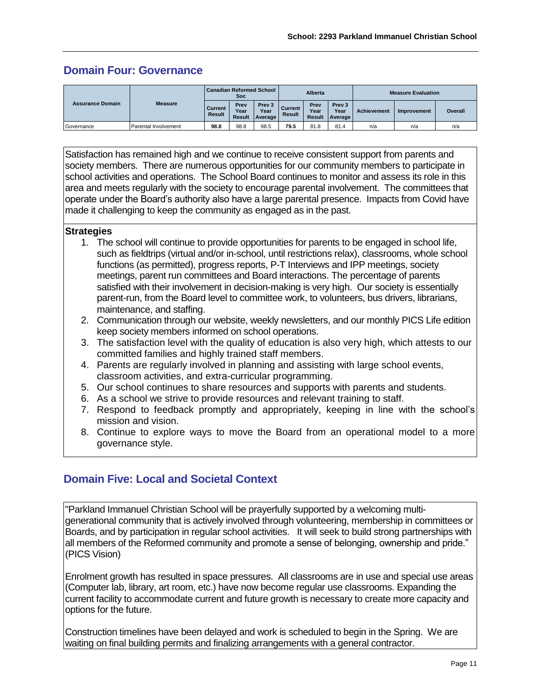# **Domain Four: Governance**

| <b>Assurance Domain</b> |                      | <b>Canadian Reformed School</b><br>Soc |                               |                                      | <b>Alberta</b>           |                               |                                             | <b>Measure Evaluation</b> |             |         |
|-------------------------|----------------------|----------------------------------------|-------------------------------|--------------------------------------|--------------------------|-------------------------------|---------------------------------------------|---------------------------|-------------|---------|
|                         | <b>Measure</b>       | <b>Current</b><br>Result               | Prev<br>Year<br><b>Result</b> | Prev <sub>3</sub><br>Year<br>Average | Current<br><b>Result</b> | Prev<br>Year<br><b>Result</b> | Prev <sub>3</sub><br>Year<br><b>Average</b> | Achievement               | Improvement | Overall |
| Governance              | Parental Involvement | 98.8                                   | 98.8                          | 98.5                                 | 79.5                     | 81.8                          | 81.4                                        | n/a                       | n/a         | n/a     |

Satisfaction has remained high and we continue to receive consistent support from parents and society members. There are numerous opportunities for our community members to participate in school activities and operations. The School Board continues to monitor and assess its role in this area and meets regularly with the society to encourage parental involvement. The committees that operate under the Board's authority also have a large parental presence. Impacts from Covid have made it challenging to keep the community as engaged as in the past.

### **Strategies**

- 1. The school will continue to provide opportunities for parents to be engaged in school life, such as fieldtrips (virtual and/or in-school, until restrictions relax), classrooms, whole school functions (as permitted), progress reports, P-T Interviews and IPP meetings, society meetings, parent run committees and Board interactions. The percentage of parents satisfied with their involvement in decision-making is very high. Our society is essentially parent-run, from the Board level to committee work, to volunteers, bus drivers, librarians, maintenance, and staffing.
- 2. Communication through our website, weekly newsletters, and our monthly PICS Life edition keep society members informed on school operations.
- 3. The satisfaction level with the quality of education is also very high, which attests to our committed families and highly trained staff members.
- 4. Parents are regularly involved in planning and assisting with large school events, classroom activities, and extra-curricular programming.
- 5. Our school continues to share resources and supports with parents and students.
- 6. As a school we strive to provide resources and relevant training to staff.
- 7. Respond to feedback promptly and appropriately, keeping in line with the school's mission and vision.
- 8. Continue to explore ways to move the Board from an operational model to a more governance style.

# **Domain Five: Local and Societal Context**

"Parkland Immanuel Christian School will be prayerfully supported by a welcoming multigenerational community that is actively involved through volunteering, membership in committees or Boards, and by participation in regular school activities. It will seek to build strong partnerships with all members of the Reformed community and promote a sense of belonging, ownership and pride." (PICS Vision)

Enrolment growth has resulted in space pressures. All classrooms are in use and special use areas (Computer lab, library, art room, etc.) have now become regular use classrooms. Expanding the current facility to accommodate current and future growth is necessary to create more capacity and options for the future.

Construction timelines have been delayed and work is scheduled to begin in the Spring. We are waiting on final building permits and finalizing arrangements with a general contractor.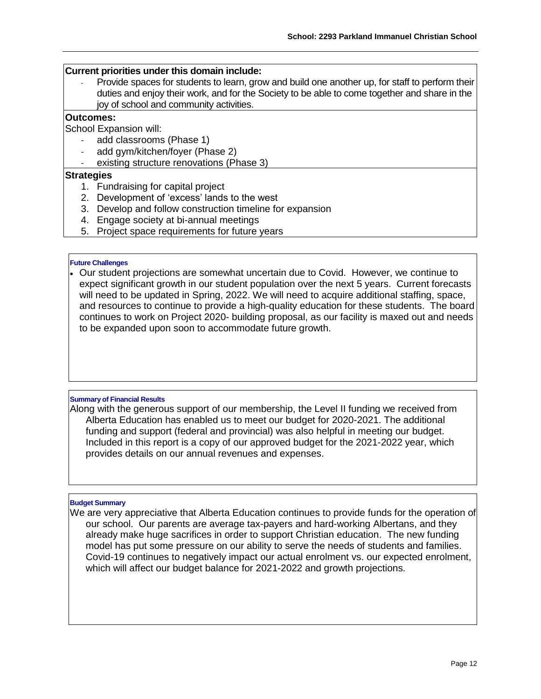#### **Current priorities under this domain include:**

Provide spaces for students to learn, grow and build one another up, for staff to perform their duties and enjoy their work, and for the Society to be able to come together and share in the joy of school and community activities.

### **Outcomes:**

School Expansion will:

- add classrooms (Phase 1)
- add gym/kitchen/foyer (Phase 2)
- existing structure renovations (Phase 3)

#### **Strategies**

- 1. Fundraising for capital project
- 2. Development of 'excess' lands to the west
- 3. Develop and follow construction timeline for expansion
- 4. Engage society at bi-annual meetings
- 5. Project space requirements for future years

#### **Future Challenges**

• Our student projections are somewhat uncertain due to Covid. However, we continue to expect significant growth in our student population over the next 5 years. Current forecasts will need to be updated in Spring, 2022. We will need to acquire additional staffing, space, and resources to continue to provide a high-quality education for these students. The board continues to work on Project 2020- building proposal, as our facility is maxed out and needs to be expanded upon soon to accommodate future growth.

#### **Summary of Financial Results**

Along with the generous support of our membership, the Level II funding we received from Alberta Education has enabled us to meet our budget for 2020-2021. The additional funding and support (federal and provincial) was also helpful in meeting our budget. Included in this report is a copy of our approved budget for the 2021-2022 year, which provides details on our annual revenues and expenses.

#### **Budget Summary**

We are very appreciative that Alberta Education continues to provide funds for the operation of our school. Our parents are average tax-payers and hard-working Albertans, and they already make huge sacrifices in order to support Christian education. The new funding model has put some pressure on our ability to serve the needs of students and families. Covid-19 continues to negatively impact our actual enrolment vs. our expected enrolment, which will affect our budget balance for 2021-2022 and growth projections.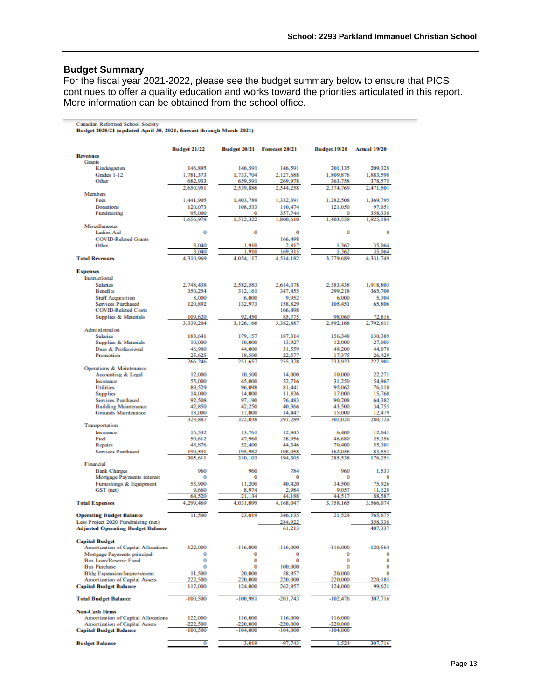## **Budget Summary**

For the fiscal year 2021-2022, please see the budget summary below to ensure that PICS continues to offer a quality education and works toward the priorities articulated in this report. More information can be obtained from the school office.

| Canadian Reformed School Society<br>Budget 2020/21 (updated April 30, 2021; forecast through March 2021) |                      |                      |                      |                      |                      |  |  |  |  |  |  |
|----------------------------------------------------------------------------------------------------------|----------------------|----------------------|----------------------|----------------------|----------------------|--|--|--|--|--|--|
|                                                                                                          | <b>Budget 21/22</b>  | <b>Budget 20/21</b>  | Forecast 20/21       | <b>Budget 19/20</b>  | Actual 19/20         |  |  |  |  |  |  |
| <b>Revenues</b>                                                                                          |                      |                      |                      |                      |                      |  |  |  |  |  |  |
| <b>Grants</b>                                                                                            |                      |                      |                      |                      |                      |  |  |  |  |  |  |
| Kindergarten                                                                                             | 146,895              | 146,591              | 146,591<br>2.127.688 | 201,135              | 209,328              |  |  |  |  |  |  |
| Grades 1-12<br>Other                                                                                     | 1,781,373<br>682,933 | 1,733,704<br>659,591 | 269,978              | 1,809,876<br>363,758 | 1,883,598<br>378,575 |  |  |  |  |  |  |
|                                                                                                          | 2,650,951            | 2,539,886            | 2,544,258            | 2,374,769            | 2,471,501            |  |  |  |  |  |  |
| <b>Members</b>                                                                                           |                      |                      |                      |                      |                      |  |  |  |  |  |  |
| Fees                                                                                                     | 1,441,905            | 1,403,789            | 1,332,391            | 1,282,508            | 1,369,795            |  |  |  |  |  |  |
| <b>Donations</b>                                                                                         | 120,073              | 108,533<br>o         | 110,474              | 121.050<br>o         | 97.051               |  |  |  |  |  |  |
| Fundraising                                                                                              | 95,000<br>1,656,978  | 1,512,322            | 357,744<br>1,800,610 | 1,403,558            | 358,338<br>1,825,184 |  |  |  |  |  |  |
| <b>Miscellaneous</b>                                                                                     |                      |                      |                      |                      |                      |  |  |  |  |  |  |
| <b>Ladies Aid</b>                                                                                        | 0                    | 0                    | o                    | 0                    | 0                    |  |  |  |  |  |  |
| <b>COVID-Related Grants</b>                                                                              |                      |                      | 166,498              |                      |                      |  |  |  |  |  |  |
| Other                                                                                                    | 3,040                | 1,910                | 2.817                | 1.362                | 35,064               |  |  |  |  |  |  |
|                                                                                                          | 3,040                | 1,910                | 169,315              | 1.362                | 35,064               |  |  |  |  |  |  |
| <b>Total Revenues</b>                                                                                    | 4,310,969            | 4,054,117            | 4,514,182            | 3,779,689            | 4,331,749            |  |  |  |  |  |  |
| <b>Expenses</b><br>Instructional                                                                         |                      |                      |                      |                      |                      |  |  |  |  |  |  |
| <b>Salaries</b>                                                                                          | 2,748,438            | 2,582,583            | 2.614,378            | 2.383,438            | 1,918,803            |  |  |  |  |  |  |
| <b>Benefits</b>                                                                                          | 350,254              | 312.161              | 347,455              | 299,218              | 365,700              |  |  |  |  |  |  |
| <b>Staff Acquisition</b><br><b>Services Purchased</b>                                                    | 8,000                | 6,000                | 9,952                | 6,000                | 5,304                |  |  |  |  |  |  |
| <b>COVID-Related Costs</b>                                                                               | 120,892              | 132,973              | 158,829<br>166,498   | 105,451              | 65,806               |  |  |  |  |  |  |
| Supplies & Materials                                                                                     | 109,620              | 92.450               | 85,775               | 98,060               | 72,816               |  |  |  |  |  |  |
|                                                                                                          | 3,339,204            | 3,126,166            | 3,382,887            | 2.892.168            | 2.792.611            |  |  |  |  |  |  |
| <b>Administration</b>                                                                                    |                      |                      |                      |                      |                      |  |  |  |  |  |  |
| <b>Salaries</b>                                                                                          | 183.641              | 179.157              | 187,314              | 156,348              | 130,389              |  |  |  |  |  |  |
| <b>Supplies &amp; Materials</b>                                                                          | 10,000               | 10,000               | 13,927               | 12,000               | 27,005               |  |  |  |  |  |  |
| Dues & Professional                                                                                      | 46,980               | 44,000               | 31,559               | 48,200               | 44.078               |  |  |  |  |  |  |
| Promotion                                                                                                | 25,625<br>266,246    | 18,500<br>251,657    | 22.577<br>255,378    | 17,375<br>233,923    | 26,429<br>227,901    |  |  |  |  |  |  |
| Operations & Maintenance                                                                                 |                      |                      |                      |                      |                      |  |  |  |  |  |  |
| Accounting & Legal                                                                                       | 12,000               | 10,500               | 14,000               | 10,000               | 22,271               |  |  |  |  |  |  |
| Insurance                                                                                                | 55,000               | 45,000               | 52,716               | 31,250               | 54,967               |  |  |  |  |  |  |
| <b>Utilities</b>                                                                                         | 89,529               | 96,098               | 81.441               | 95,062               | 76,110               |  |  |  |  |  |  |
| <b>Supplies</b>                                                                                          | 14,000               | 14,000               | 11,836               | 17,000               | 15,760               |  |  |  |  |  |  |
| <b>Services Purchased</b>                                                                                | 92,508               | 97.190               | 76,483               | 90,208               | 64,382               |  |  |  |  |  |  |
| <b>Building Maintenance</b><br>Grounds Maintenance                                                       | 42,850<br>18,000     | 42,250<br>17,000     | 40,366<br>14,447     | 43,500<br>15,000     | 34,755<br>12,479     |  |  |  |  |  |  |
|                                                                                                          | 323,887              | 322,038              | 291,289              | 302,020              | 280,724              |  |  |  |  |  |  |
| Transportation                                                                                           |                      |                      |                      |                      |                      |  |  |  |  |  |  |
| Insurance                                                                                                | 15,532               | 13,761               | 12,945               | 6,400                | 12,041               |  |  |  |  |  |  |
| Fuel                                                                                                     | 50,612               | 47,960               | 28,956               | 46,680               | 25,356               |  |  |  |  |  |  |
| Repairs                                                                                                  | 48,876               | 52,400               | 44,346               | 70,400               | 55,301               |  |  |  |  |  |  |
| <b>Services Purchased</b>                                                                                | 190,591<br>305,611   | 195,982<br>310,103   | 108,058<br>194,305   | 162,058<br>285,538   | 83,553<br>176,251    |  |  |  |  |  |  |
| Financial                                                                                                |                      |                      |                      |                      |                      |  |  |  |  |  |  |
| <b>Bank Charges</b>                                                                                      | 960                  | 960                  | 784                  | 960                  | 1,533                |  |  |  |  |  |  |
| Mortgage Payments interest                                                                               | 0                    | o                    | o                    | o                    | $\bf{0}$             |  |  |  |  |  |  |
| Furnishings & Equipment                                                                                  | 53,900               | 11,200               | 40,420               | 34,500               | 75,926               |  |  |  |  |  |  |
| GST (net)                                                                                                | 9,660                | 8,974                | 2.984                | 9,057                | 11,128               |  |  |  |  |  |  |
|                                                                                                          | 64,520               | 21,134               | 44,188               | 44,517               | 88,587               |  |  |  |  |  |  |
| <b>Total Expenses</b><br><b>Operating Budget Balance</b>                                                 | 4,299,469<br>11,500  | 4,031,099<br>23,019  | 4,168,047<br>346,135 | 3,758,165<br>21,524  | 3,566,074<br>765,675 |  |  |  |  |  |  |
| Less Project 2020 Fundraising (net)                                                                      |                      |                      | 284,922              |                      | 358,338              |  |  |  |  |  |  |
| <b>Adjusted Operating Budget Balance</b>                                                                 |                      |                      | 61,213               |                      | 407,337              |  |  |  |  |  |  |
| <b>Capital Budget</b>                                                                                    |                      |                      | $-116,000$           |                      |                      |  |  |  |  |  |  |
| Amortization of Capital Allocations                                                                      | $-122,000$<br>0      | $-116,000$<br>0      | o                    | $-116,000$<br>o      | $-120.564$<br>0      |  |  |  |  |  |  |
| Mortgage Payments principal<br><b>Bus Loan/Reserve Fund</b>                                              | 0                    | 0                    | 0                    | 0                    | 0                    |  |  |  |  |  |  |
| <b>Bus Purchase</b>                                                                                      | 0                    | 0                    | 100,000              | 0                    | 0                    |  |  |  |  |  |  |
| <b>Bldg Expansion/Improvement</b>                                                                        | 11,500               | 20,000               | 58,957               | 20,000               | 0                    |  |  |  |  |  |  |
| <b>Amortization of Capital Assets</b>                                                                    | 222,500              | 220,000              | 220,000              | 220,000              | 220,185              |  |  |  |  |  |  |
| <b>Capital Budget Balance</b>                                                                            | 112,000              | 124,000              | 262,957              | 124,000              | 99,621               |  |  |  |  |  |  |
| <b>Total Budget Balance</b>                                                                              | $-100,500$           | -100,981             | 201,743              | $-102,476$           | 307,716              |  |  |  |  |  |  |
| <b>Non-Cash Items</b><br>Amortization of Capital Allocations                                             | 122,000              | 116,000              | 116,000              | 116,000              |                      |  |  |  |  |  |  |
| <b>Amortization of Capital Assets</b>                                                                    | -222,500             | $-220,000$           | $-220,000$           | $-220,000$           |                      |  |  |  |  |  |  |
| <b>Capital Budget Balance</b>                                                                            | -100,500             | $-104,000$           | $-104,000$           | $-104,000$           |                      |  |  |  |  |  |  |
| <b>Budget Balance</b>                                                                                    | 0                    | 3,019                | -97,743              | 1,524                | 307,716              |  |  |  |  |  |  |